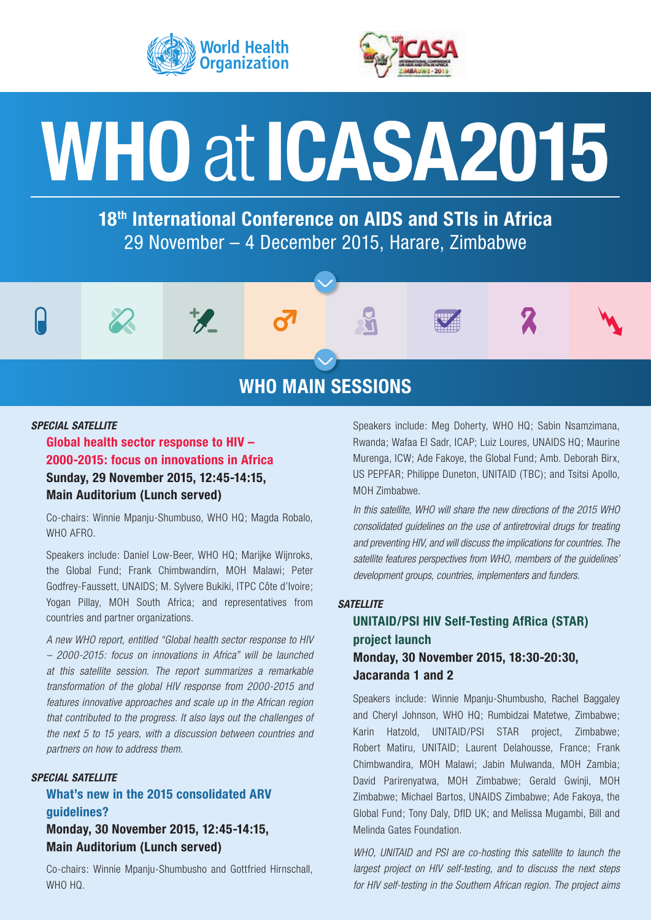



# **WHO**at**ICASA2015**

**18th International Conference on AIDS and STIs in Africa** 29 November – 4 December 2015, Harare, Zimbabwe

# **WHO MAIN SESSIONS**

 $\mathbb{R}$ 

#### *SPECIAL SATELLITE*

## **Global health sector response to HIV – 2000-2015: focus on innovations in Africa Sunday, 29 November 2015, 12:45-14:15, Main Auditorium (Lunch served)**

Co-chairs: Winnie Mpanju-Shumbuso, WHO HQ; Magda Robalo, WHO AFRO.

 $\mathcal{P}$ 

Speakers include: Daniel Low-Beer, WHO HQ; Marijke Wijnroks, the Global Fund; Frank Chimbwandirn, MOH Malawi; Peter Godfrey-Faussett, UNAIDS; M. Sylvere Bukiki, ITPC Côte d'Ivoire; Yogan Pillay, MOH South Africa; and representatives from countries and partner organizations.

*A new WHO report, entitled "Global health sector response to HIV – 2000-2015: focus on innovations in Africa" will be launched at this satellite session. The report summarizes a remarkable transformation of the global HIV response from 2000-2015 and features innovative approaches and scale up in the African region that contributed to the progress. It also lays out the challenges of the next 5 to 15 years, with a discussion between countries and partners on how to address them.*

## *SPECIAL SATELLITE*

## **What's new in the 2015 consolidated ARV guidelines? Monday, 30 November 2015, 12:45-14:15, Main Auditorium (Lunch served)**

Co-chairs: Winnie Mpanju-Shumbusho and Gottfried Hirnschall, WHO HQ.

Speakers include: Meg Doherty, WHO HQ; Sabin Nsamzimana, Rwanda; Wafaa El Sadr, ICAP; Luiz Loures, UNAIDS HQ; Maurine Murenga, ICW; Ade Fakoye, the Global Fund; Amb. Deborah Birx, US PEPFAR; Philippe Duneton, UNITAID (TBC); and Tsitsi Apollo, MOH Zimbabwe.

*In this satellite, WHO will share the new directions of the 2015 WHO consolidated guidelines on the use of antiretroviral drugs for treating and preventing HIV, and will discuss the implications for countries. The satellite features perspectives from WHO, members of the guidelines' development groups, countries, implementers and funders.* 

#### *SATELLITE*

## **UNITAID/PSI HIV Self-Testing AfRica (STAR) project launch Monday, 30 November 2015, 18:30-20:30, Jacaranda 1 and 2**

Speakers include: Winnie Mpanju-Shumbusho, Rachel Baggaley and Cheryl Johnson, WHO HQ; Rumbidzai Matetwe, Zimbabwe; Karin Hatzold, UNITAID/PSI STAR project, Zimbabwe; Robert Matiru, UNITAID; Laurent Delahousse, France; Frank Chimbwandira, MOH Malawi; Jabin Mulwanda, MOH Zambia; David Parirenyatwa, MOH Zimbabwe; Gerald Gwinji, MOH Zimbabwe; Michael Bartos, UNAIDS Zimbabwe; Ade Fakoya, the Global Fund; Tony Daly, DfID UK; and Melissa Mugambi, Bill and Melinda Gates Foundation.

*WHO, UNITAID and PSI are co-hosting this satellite to launch the largest project on HIV self-testing, and to discuss the next steps for HIV self-testing in the Southern African region. The project aims*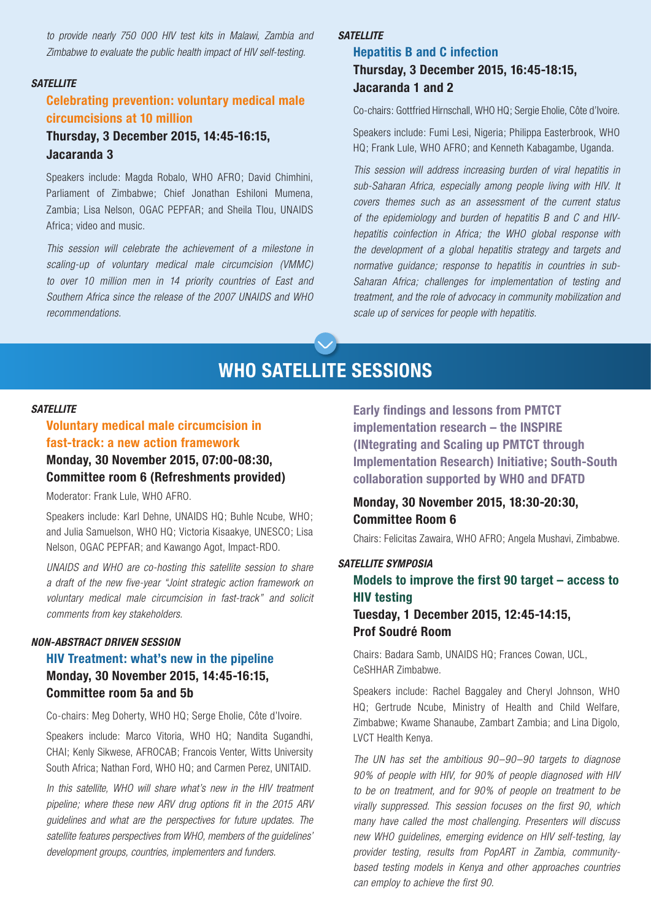*to provide nearly 750 000 HIV test kits in Malawi, Zambia and Zimbabwe to evaluate the public health impact of HIV self-testing.* 

#### *SATELLITE*

## **Celebrating prevention: voluntary medical male circumcisions at 10 million**

## **Thursday, 3 December 2015, 14:45-16:15, Jacaranda 3**

Speakers include: Magda Robalo, WHO AFRO; David Chimhini, Parliament of Zimbabwe; Chief Jonathan Eshiloni Mumena, Zambia; Lisa Nelson, OGAC PEPFAR; and Sheila Tlou, UNAIDS Africa; video and music.

*This session will celebrate the achievement of a milestone in scaling-up of voluntary medical male circumcision (VMMC) to over 10 million men in 14 priority countries of East and Southern Africa since the release of the 2007 UNAIDS and WHO recommendations.*

#### *SATELLITE*

## **Hepatitis B and C infection Thursday, 3 December 2015, 16:45-18:15, Jacaranda 1 and 2**

Co-chairs: Gottfried Hirnschall, WHO HQ; Sergie Eholie, Côte d'Ivoire.

Speakers include: Fumi Lesi, Nigeria; Philippa Easterbrook, WHO HQ; Frank Lule, WHO AFRO; and Kenneth Kabagambe, Uganda.

*This session will address increasing burden of viral hepatitis in sub-Saharan Africa, especially among people living with HIV. It covers themes such as an assessment of the current status of the epidemiology and burden of hepatitis B and C and HIVhepatitis coinfection in Africa; the WHO global response with the development of a global hepatitis strategy and targets and normative guidance; response to hepatitis in countries in sub-Saharan Africa; challenges for implementation of testing and treatment, and the role of advocacy in community mobilization and scale up of services for people with hepatitis.* 

# **WHO SATELLITE SESSIONS**

#### *SATELLITE*

## **Voluntary medical male circumcision in fast-track: a new action framework Monday, 30 November 2015, 07:00-08:30, Committee room 6 (Refreshments provided)**

Moderator: Frank Lule, WHO AFRO.

Speakers include: Karl Dehne, UNAIDS HQ; Buhle Ncube, WHO; and Julia Samuelson, WHO HQ; Victoria Kisaakye, UNESCO; Lisa Nelson, OGAC PEPFAR; and Kawango Agot, Impact-RDO.

*UNAIDS and WHO are co-hosting this satellite session to share a draft of the new five-year "Joint strategic action framework on voluntary medical male circumcision in fast-track" and solicit comments from key stakeholders.*

#### *NON-ABSTRACT DRIVEN SESSION*

## **HIV Treatment: what's new in the pipeline Monday, 30 November 2015, 14:45-16:15, Committee room 5a and 5b**

Co-chairs: Meg Doherty, WHO HQ; Serge Eholie, Côte d'Ivoire.

Speakers include: Marco Vitoria, WHO HQ; Nandita Sugandhi, CHAI; Kenly Sikwese, AFROCAB; Francois Venter, Witts University South Africa; Nathan Ford, WHO HQ; and Carmen Perez, UNITAID.

In this satellite, WHO will share what's new in the HIV treatment *pipeline; where these new ARV drug options fit in the 2015 ARV guidelines and what are the perspectives for future updates. The satellite features perspectives from WHO, members of the guidelines' development groups, countries, implementers and funders.*

**Early findings and lessons from PMTCT implementation research – the INSPIRE (INtegrating and Scaling up PMTCT through Implementation Research) Initiative; South-South collaboration supported by WHO and DFATD**

## **Monday, 30 November 2015, 18:30-20:30, Committee Room 6**

Chairs: Felicitas Zawaira, WHO AFRO; Angela Mushavi, Zimbabwe.

#### *SATELLITE SYMPOSIA*

## **Models to improve the first 90 target – access to HIV testing Tuesday, 1 December 2015, 12:45-14:15,**

## **Prof Soudré Room**

Chairs: Badara Samb, UNAIDS HQ; Frances Cowan, UCL, CeSHHAR Zimbabwe.

Speakers include: Rachel Baggaley and Cheryl Johnson, WHO HQ; Gertrude Ncube, Ministry of Health and Child Welfare, Zimbabwe; Kwame Shanaube, Zambart Zambia; and Lina Digolo, LVCT Health Kenya.

*The UN has set the ambitious 90–90–90 targets to diagnose 90% of people with HIV, for 90% of people diagnosed with HIV to be on treatment, and for 90% of people on treatment to be virally suppressed. This session focuses on the first 90, which many have called the most challenging. Presenters will discuss new WHO guidelines, emerging evidence on HIV self-testing, lay provider testing, results from PopART in Zambia, communitybased testing models in Kenya and other approaches countries can employ to achieve the first 90.*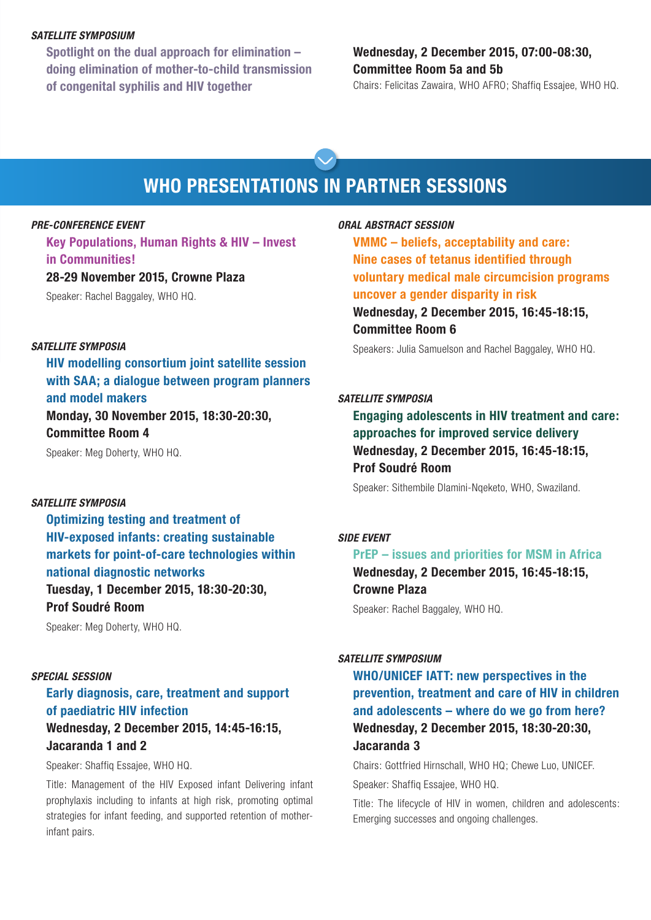#### *SATELLITE SYMPOSIUM*

**Spotlight on the dual approach for elimination – doing elimination of mother-to-child transmission of congenital syphilis and HIV together**

## **Wednesday, 2 December 2015, 07:00-08:30, Committee Room 5a and 5b**

Chairs: Felicitas Zawaira, WHO AFRO; Shaffiq Essajee, WHO HQ.

# **WHO PRESENTATIONS IN PARTNER SESSIONS**

## *PRE-CONFERENCE EVENT*

**Key Populations, Human Rights & HIV – Invest in Communities!**

#### **28-29 November 2015, Crowne Plaza**

Speaker: Rachel Baggaley, WHO HQ.

#### *SATELLITE SYMPOSIA*

**HIV modelling consortium joint satellite session with SAA; a dialogue between program planners and model makers Monday, 30 November 2015, 18:30-20:30,** 

**Committee Room 4**

Speaker: Meg Doherty, WHO HQ.

## *SATELLITE SYMPOSIA*

**Optimizing testing and treatment of HIV-exposed infants: creating sustainable markets for point-of-care technologies within national diagnostic networks Tuesday, 1 December 2015, 18:30-20:30, Prof Soudré Room**

Speaker: Meg Doherty, WHO HQ.

## *SPECIAL SESSION*

## **Early diagnosis, care, treatment and support of paediatric HIV infection**

## **Wednesday, 2 December 2015, 14:45-16:15, Jacaranda 1 and 2**

Speaker: Shaffiq Essajee, WHO HQ.

Title: Management of the HIV Exposed infant Delivering infant prophylaxis including to infants at high risk, promoting optimal strategies for infant feeding, and supported retention of motherinfant pairs.

## *ORAL ABSTRACT SESSION*

**VMMC – beliefs, acceptability and care: Nine cases of tetanus identified through voluntary medical male circumcision programs uncover a gender disparity in risk Wednesday, 2 December 2015, 16:45-18:15, Committee Room 6**

Speakers: Julia Samuelson and Rachel Baggaley, WHO HQ.

#### *SATELLITE SYMPOSIA*

**Engaging adolescents in HIV treatment and care: approaches for improved service delivery Wednesday, 2 December 2015, 16:45-18:15, Prof Soudré Room**

Speaker: Sithembile Dlamini-Nqeketo, WHO, Swaziland.

#### *SIDE EVENT*

## **PrEP – issues and priorities for MSM in Africa Wednesday, 2 December 2015, 16:45-18:15, Crowne Plaza**

Speaker: Rachel Baggaley, WHO HQ.

#### *SATELLITE SYMPOSIUM*

**WHO/UNICEF IATT: new perspectives in the prevention, treatment and care of HIV in children and adolescents – where do we go from here? Wednesday, 2 December 2015, 18:30-20:30, Jacaranda 3**

Chairs: Gottfried Hirnschall, WHO HQ; Chewe Luo, UNICEF. Speaker: Shaffiq Essajee, WHO HQ.

Title: The lifecycle of HIV in women, children and adolescents:

Emerging successes and ongoing challenges.